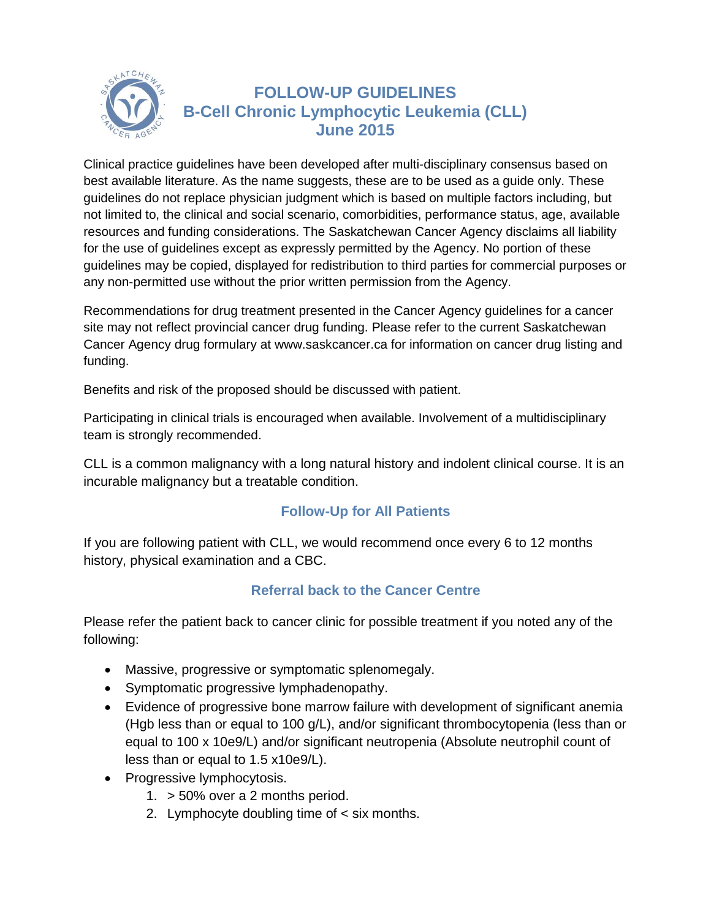

## **FOLLOW-UP GUIDELINES B-Cell Chronic Lymphocytic Leukemia (CLL) June 2015**

Clinical practice guidelines have been developed after multi-disciplinary consensus based on best available literature. As the name suggests, these are to be used as a guide only. These guidelines do not replace physician judgment which is based on multiple factors including, but not limited to, the clinical and social scenario, comorbidities, performance status, age, available resources and funding considerations. The Saskatchewan Cancer Agency disclaims all liability for the use of guidelines except as expressly permitted by the Agency. No portion of these guidelines may be copied, displayed for redistribution to third parties for commercial purposes or any non-permitted use without the prior written permission from the Agency.

Recommendations for drug treatment presented in the Cancer Agency guidelines for a cancer site may not reflect provincial cancer drug funding. Please refer to the current Saskatchewan Cancer Agency drug formulary at [www.saskcancer.ca](http://www.saskcancer.ca/) for information on cancer drug listing and funding.

Benefits and risk of the proposed should be discussed with patient.

Participating in clinical trials is encouraged when available. Involvement of a multidisciplinary team is strongly recommended.

CLL is a common malignancy with a long natural history and indolent clinical course. It is an incurable malignancy but a treatable condition.

## **Follow-Up for All Patients**

If you are following patient with CLL, we would recommend once every 6 to 12 months history, physical examination and a CBC.

## **Referral back to the Cancer Centre**

Please refer the patient back to cancer clinic for possible treatment if you noted any of the following:

- Massive, progressive or symptomatic splenomegaly.
- Symptomatic progressive lymphadenopathy.
- Evidence of progressive bone marrow failure with development of significant anemia (Hgb less than or equal to 100 g/L), and/or significant thrombocytopenia (less than or equal to 100 x 10e9/L) and/or significant neutropenia (Absolute neutrophil count of less than or equal to 1.5 x10e9/L).
- Progressive lymphocytosis.
	- 1. > 50% over a 2 months period.
	- 2. Lymphocyte doubling time of < six months.